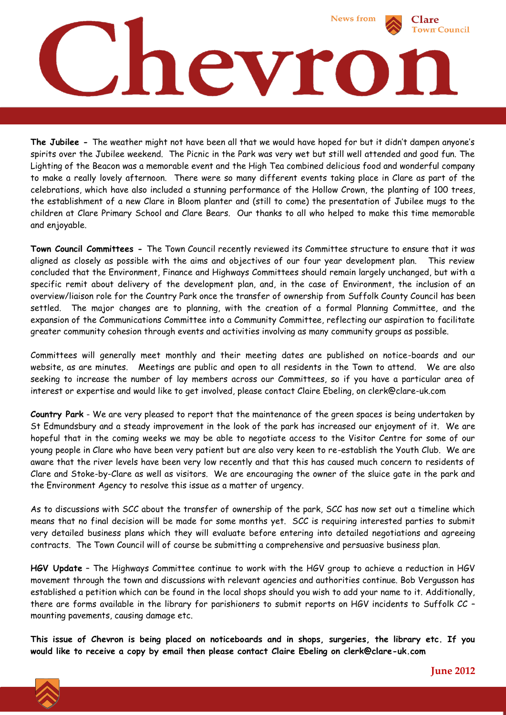

**The Jubilee -** The weather might not have been all that we would have hoped for but it didn't dampen anyone's spirits over the Jubilee weekend. The Picnic in the Park was very wet but still well attended and good fun. The Lighting of the Beacon was a memorable event and the High Tea combined delicious food and wonderful company to make a really lovely afternoon. There were so many different events taking place in Clare as part of the celebrations, which have also included a stunning performance of the Hollow Crown, the planting of 100 trees, the establishment of a new Clare in Bloom planter and (still to come) the presentation of Jubilee mugs to the children at Clare Primary School and Clare Bears. Our thanks to all who helped to make this time memorable and enjoyable.

**Town Council Committees -** The Town Council recently reviewed its Committee structure to ensure that it was aligned as closely as possible with the aims and objectives of our four year development plan. This review concluded that the Environment, Finance and Highways Committees should remain largely unchanged, but with a specific remit about delivery of the development plan, and, in the case of Environment, the inclusion of an overview/liaison role for the Country Park once the transfer of ownership from Suffolk County Council has been settled. The major changes are to planning, with the creation of a formal Planning Committee, and the expansion of the Communications Committee into a Community Committee, reflecting our aspiration to facilitate greater community cohesion through events and activities involving as many community groups as possible.

Committees will generally meet monthly and their meeting dates are published on notice-boards and our website, as are minutes. Meetings are public and open to all residents in the Town to attend. We are also seeking to increase the number of lay members across our Committees, so if you have a particular area of interest or expertise and would like to get involved, please contact Claire Ebeling, on clerk@clare-uk.com

**Country Park** - We are very pleased to report that the maintenance of the green spaces is being undertaken by St Edmundsbury and a steady improvement in the look of the park has increased our enjoyment of it. We are hopeful that in the coming weeks we may be able to negotiate access to the Visitor Centre for some of our young people in Clare who have been very patient but are also very keen to re-establish the Youth Club. We are aware that the river levels have been very low recently and that this has caused much concern to residents of Clare and Stoke-by-Clare as well as visitors. We are encouraging the owner of the sluice gate in the park and the Environment Agency to resolve this issue as a matter of urgency.

As to discussions with SCC about the transfer of ownership of the park, SCC has now set out a timeline which means that no final decision will be made for some months yet. SCC is requiring interested parties to submit very detailed business plans which they will evaluate before entering into detailed negotiations and agreeing contracts. The Town Council will of course be submitting a comprehensive and persuasive business plan.

**HGV Update** – The Highways Committee continue to work with the HGV group to achieve a reduction in HGV movement through the town and discussions with relevant agencies and authorities continue. Bob Vergusson has established a petition which can be found in the local shops should you wish to add your name to it. Additionally, there are forms available in the library for parishioners to submit reports on HGV incidents to Suffolk CC – mounting pavements, causing damage etc.

**This issue of Chevron is being placed on noticeboards and in shops, surgeries, the library etc. If you would like to receive a copy by email then please contact Claire Ebeling on clerk@clare-uk.com**